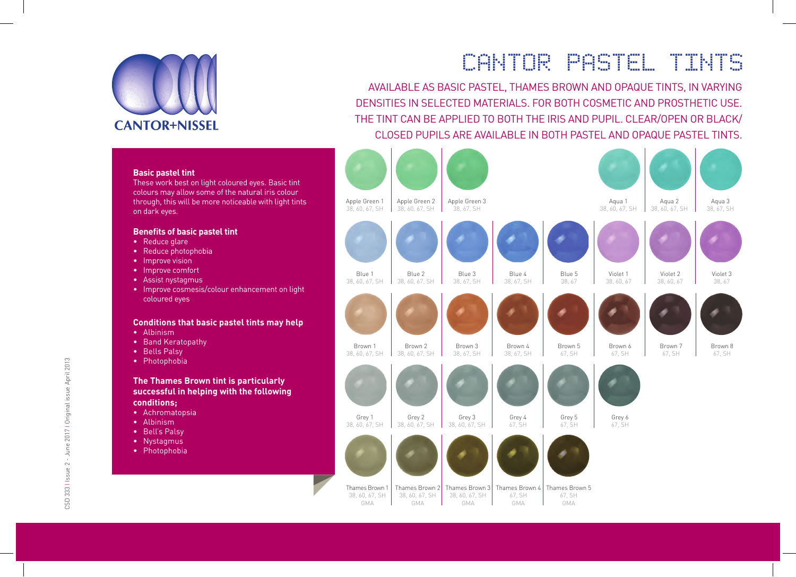

# CANTOR PASTEL TINTS

AVAILABLE AS BASIC PASTEL, THAMES BROWN AND OPAQUE TINTS, IN VARYING DENSITIES IN SELECTED MATERIALS. FOR BOTH COSMETIC AND PROSTHETIC USE. THE TINT CAN BE APPLIED TO BOTH THE IRIS AND PUPIL. CLEAR/OPEN OR BLACK/ CLOSED PUPILS ARE AVAILABLE IN BOTH PASTEL AND OPAQUE PASTEL TINTS.



#### **Basic pastel tint**

These work best on light coloured eyes. Basic tint colours may allow some of the natural iris colour through, this will be more noticeable with light tints on dark eyes.

#### **Benefits of basic pastel tint**

- Reduce glare
- Reduce photophobia
- Improve vision
- Improve comfort
- Assist nystagmus
- Improve cosmesis/colour enhancement on light coloured eyes

#### **Conditions that basic pastel tints may help**

- Albinism
- Band Keratopathy
- Bells Palsy
- Photophobia

### **The Thames Brown tint is particularly successful in helping with the following conditions;**

- Achromatopsia
- Albinism
- Bell's Palsy
- Nystagmus
- Photophobia